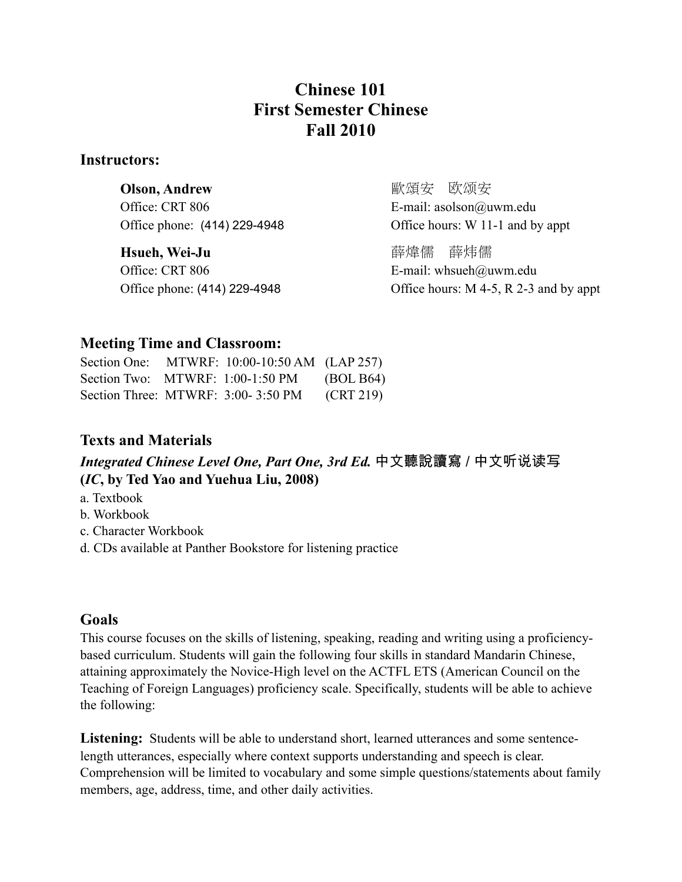## **Chinese 101 First Semester Chinese Fall 2010**

#### **Instructors:**

| <b>Olson, Andrew</b>         | 歐頌安 欧颂安                          |
|------------------------------|----------------------------------|
| Office: CRT 806              | E-mail: $asolson@uum.edu$        |
| Office phone: (414) 229-4948 | Office hours: W 11-1 and by appt |
| Hsueh, Wei-Ju                | 薛煒儒 薛炜儒                          |
| Office: CRT 806              | E-mail: whsueh@uwm.edu           |

Office phone: (414) 229-4948 Office hours: M 4-5, R 2-3 and by appt

### **Meeting Time and Classroom:**

| Section One:                     | MTWRF: 10:00-10:50 AM (LAP 257)    |           |
|----------------------------------|------------------------------------|-----------|
| Section Two: MTWRF: 1:00-1:50 PM |                                    | (BOLB64)  |
|                                  | Section Three: MTWRF: 3:00-3:50 PM | (CRT 219) |

### **Texts and Materials**

Integrated Chinese Level One, Part One, 3rd Ed. 中文聽說讀寫 / 中文听说读写 **(***IC***, by Ted Yao and Yuehua Liu, 2008)**

- a. Textbook
- b. Workbook
- c. Character Workbook
- d. CDs available at Panther Bookstore for listening practice

## **Goals**

This course focuses on the skills of listening, speaking, reading and writing using a proficiencybased curriculum. Students will gain the following four skills in standard Mandarin Chinese, attaining approximately the Novice-High level on the ACTFL ETS (American Council on the Teaching of Foreign Languages) proficiency scale. Specifically, students will be able to achieve the following:

Listening: Students will be able to understand short, learned utterances and some sentencelength utterances, especially where context supports understanding and speech is clear. Comprehension will be limited to vocabulary and some simple questions/statements about family members, age, address, time, and other daily activities.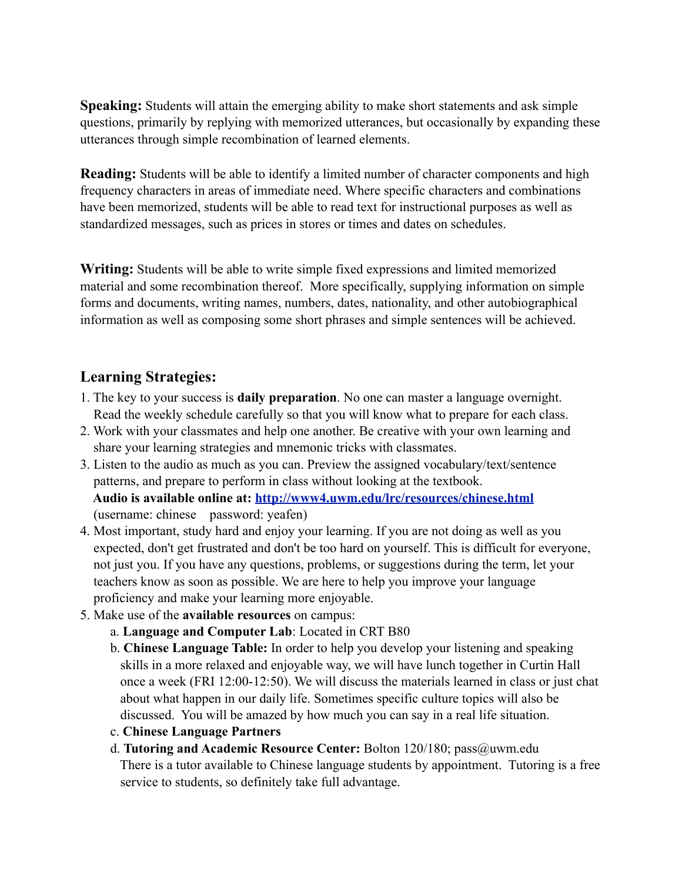**Speaking:** Students will attain the emerging ability to make short statements and ask simple questions, primarily by replying with memorized utterances, but occasionally by expanding these utterances through simple recombination of learned elements.

**Reading:** Students will be able to identify a limited number of character components and high frequency characters in areas of immediate need. Where specific characters and combinations have been memorized, students will be able to read text for instructional purposes as well as standardized messages, such as prices in stores or times and dates on schedules.

**Writing:** Students will be able to write simple fixed expressions and limited memorized material and some recombination thereof. More specifically, supplying information on simple forms and documents, writing names, numbers, dates, nationality, and other autobiographical information as well as composing some short phrases and simple sentences will be achieved.

## **Learning Strategies:**

- 1. The key to your success is **daily preparation**. No one can master a language overnight. Read the weekly schedule carefully so that you will know what to prepare for each class.
- 2. Work with your classmates and help one another. Be creative with your own learning and share your learning strategies and mnemonic tricks with classmates.
- 3. Listen to the audio as much as you can. Preview the assigned vocabulary/text/sentence patterns, and prepare to perform in class without looking at the textbook.  **Audio is available online at:<http://www4.uwm.edu/lrc/resources/chinese.html>** (username: chinese password: yeafen)
- 4. Most important, study hard and enjoy your learning. If you are not doing as well as you expected, don't get frustrated and don't be too hard on yourself. This is difficult for everyone, not just you. If you have any questions, problems, or suggestions during the term, let your teachers know as soon as possible. We are here to help you improve your language proficiency and make your learning more enjoyable.
- 5. Make use of the **available resources** on campus:
	- a. **Language and Computer Lab**: Located in CRT B80
	- b. **Chinese Language Table:** In order to help you develop your listening and speaking skills in a more relaxed and enjoyable way, we will have lunch together in Curtin Hall once a week (FRI 12:00-12:50). We will discuss the materials learned in class or just chat about what happen in our daily life. Sometimes specific culture topics will also be discussed. You will be amazed by how much you can say in a real life situation.
	- c. **Chinese Language Partners**
	- d. **Tutoring and Academic Resource Center:** Bolton 120/180; pass@uwm.edu There is a tutor available to Chinese language students by appointment. Tutoring is a free service to students, so definitely take full advantage.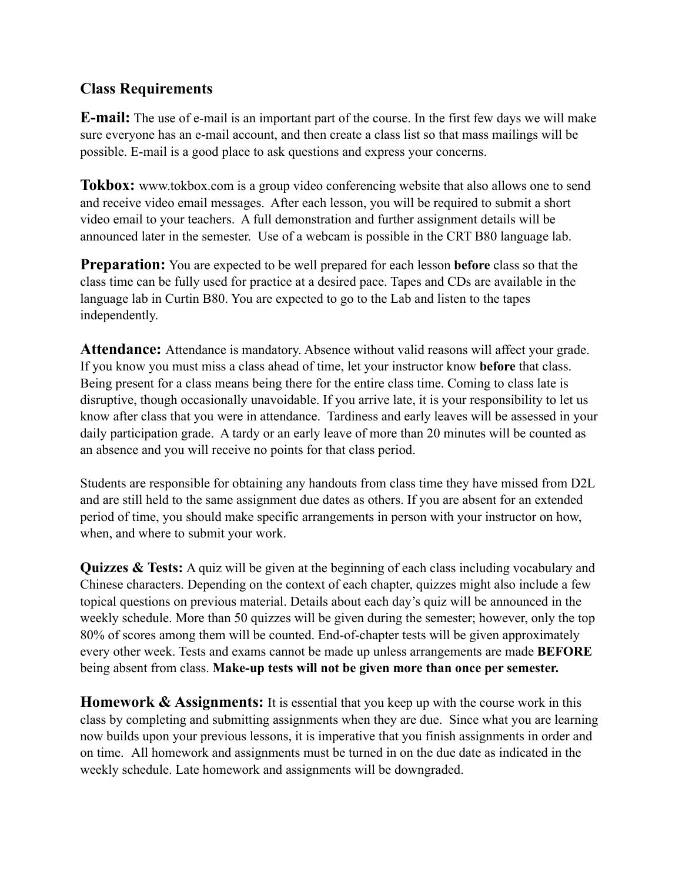## **Class Requirements**

**E-mail:** The use of e-mail is an important part of the course. In the first few days we will make sure everyone has an e-mail account, and then create a class list so that mass mailings will be possible. E-mail is a good place to ask questions and express your concerns.

**Tokbox:** www.tokbox.com is a group video conferencing website that also allows one to send and receive video email messages. After each lesson, you will be required to submit a short video email to your teachers. A full demonstration and further assignment details will be announced later in the semester. Use of a webcam is possible in the CRT B80 language lab.

**Preparation:** You are expected to be well prepared for each lesson **before** class so that the class time can be fully used for practice at a desired pace. Tapes and CDs are available in the language lab in Curtin B80. You are expected to go to the Lab and listen to the tapes independently.

**Attendance:** Attendance is mandatory. Absence without valid reasons will affect your grade. If you know you must miss a class ahead of time, let your instructor know **before** that class. Being present for a class means being there for the entire class time. Coming to class late is disruptive, though occasionally unavoidable. If you arrive late, it is your responsibility to let us know after class that you were in attendance. Tardiness and early leaves will be assessed in your daily participation grade. A tardy or an early leave of more than 20 minutes will be counted as an absence and you will receive no points for that class period.

Students are responsible for obtaining any handouts from class time they have missed from D2L and are still held to the same assignment due dates as others. If you are absent for an extended period of time, you should make specific arrangements in person with your instructor on how, when, and where to submit your work.

**Quizzes & Tests:** A quiz will be given at the beginning of each class including vocabulary and Chinese characters. Depending on the context of each chapter, quizzes might also include a few topical questions on previous material. Details about each day's quiz will be announced in the weekly schedule. More than 50 quizzes will be given during the semester; however, only the top 80% of scores among them will be counted. End-of-chapter tests will be given approximately every other week. Tests and exams cannot be made up unless arrangements are made **BEFORE**  being absent from class. **Make-up tests will not be given more than once per semester.**

**Homework & Assignments:** It is essential that you keep up with the course work in this class by completing and submitting assignments when they are due. Since what you are learning now builds upon your previous lessons, it is imperative that you finish assignments in order and on time. All homework and assignments must be turned in on the due date as indicated in the weekly schedule. Late homework and assignments will be downgraded.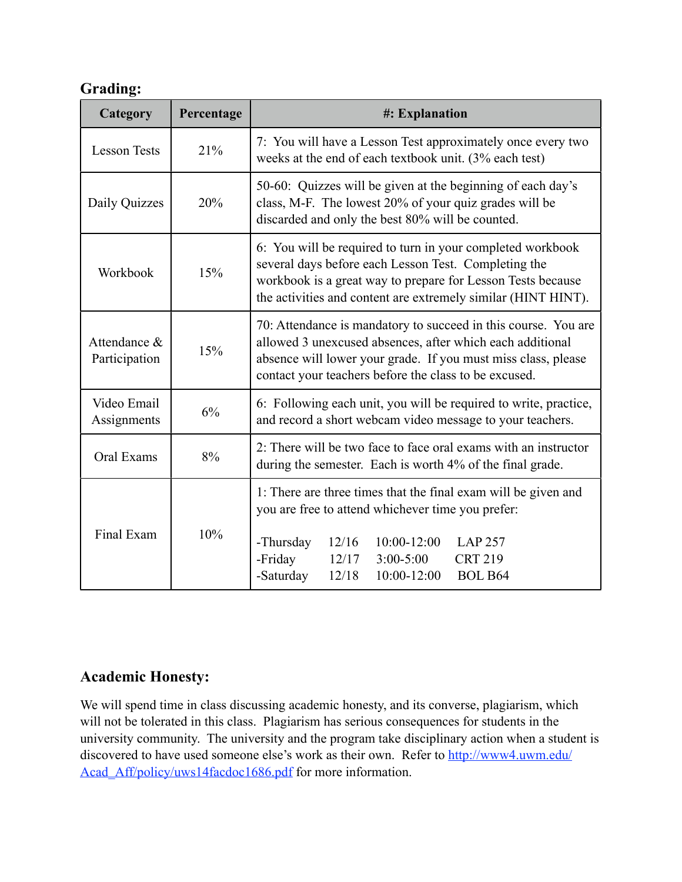## **Grading:**

| Category                      | Percentage | #: Explanation                                                                                                                                                                                                                                                                               |  |  |
|-------------------------------|------------|----------------------------------------------------------------------------------------------------------------------------------------------------------------------------------------------------------------------------------------------------------------------------------------------|--|--|
| <b>Lesson Tests</b>           | 21%        | 7: You will have a Lesson Test approximately once every two<br>weeks at the end of each textbook unit. (3% each test)                                                                                                                                                                        |  |  |
| Daily Quizzes                 | 20%        | 50-60: Quizzes will be given at the beginning of each day's<br>class, M-F. The lowest 20% of your quiz grades will be<br>discarded and only the best 80% will be counted.                                                                                                                    |  |  |
| Workbook                      | 15%        | 6: You will be required to turn in your completed workbook<br>several days before each Lesson Test. Completing the<br>workbook is a great way to prepare for Lesson Tests because<br>the activities and content are extremely similar (HINT HINT).                                           |  |  |
| Attendance &<br>Participation | 15%        | 70: Attendance is mandatory to succeed in this course. You are<br>allowed 3 unexcused absences, after which each additional<br>absence will lower your grade. If you must miss class, please<br>contact your teachers before the class to be excused.                                        |  |  |
| Video Email<br>Assignments    | 6%         | 6: Following each unit, you will be required to write, practice,<br>and record a short webcam video message to your teachers.                                                                                                                                                                |  |  |
| Oral Exams                    | 8%         | 2: There will be two face to face oral exams with an instructor<br>during the semester. Each is worth 4% of the final grade.                                                                                                                                                                 |  |  |
| Final Exam                    | 10%        | 1: There are three times that the final exam will be given and<br>you are free to attend whichever time you prefer:<br>-Thursday<br>12/16<br>$10:00 - 12:00$<br><b>LAP 257</b><br>-Friday<br>$3:00 - 5:00$<br><b>CRT 219</b><br>12/17<br><b>BOL B64</b><br>-Saturday<br>12/18<br>10:00-12:00 |  |  |

## **Academic Honesty:**

We will spend time in class discussing academic honesty, and its converse, plagiarism, which will not be tolerated in this class. Plagiarism has serious consequences for students in the university community. The university and the program take disciplinary action when a student is discovered to have used someone else's work as their own. Refer to [http://www4.uwm.edu/](http://www4.uwm.edu/Acad_Aff/policy/uws14facdoc1686.pdf) Acad Aff/policy/uws14facdoc1686.pdf for more information.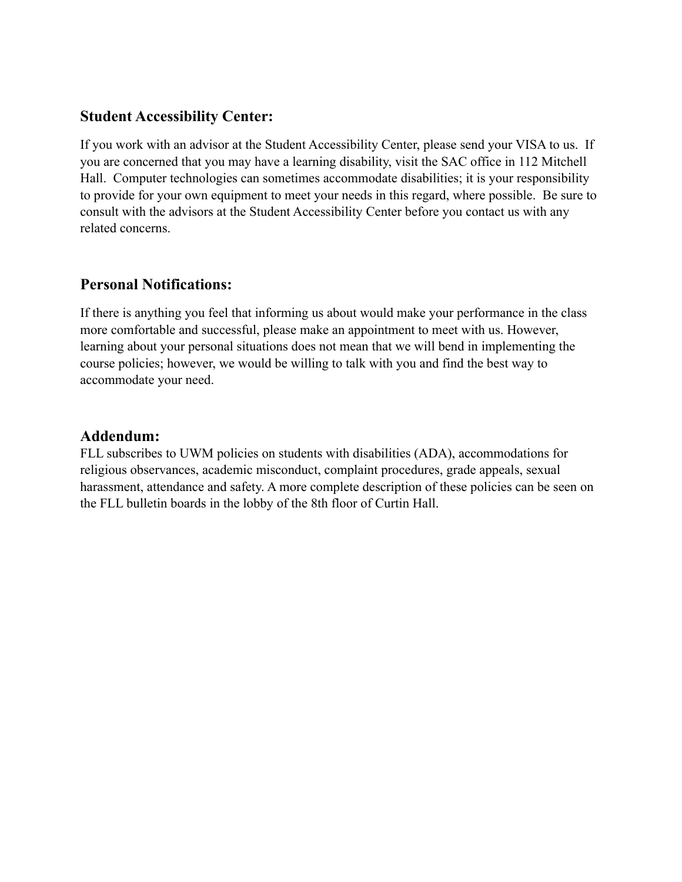### **Student Accessibility Center:**

If you work with an advisor at the Student Accessibility Center, please send your VISA to us. If you are concerned that you may have a learning disability, visit the SAC office in 112 Mitchell Hall. Computer technologies can sometimes accommodate disabilities; it is your responsibility to provide for your own equipment to meet your needs in this regard, where possible. Be sure to consult with the advisors at the Student Accessibility Center before you contact us with any related concerns.

## **Personal Notifications:**

If there is anything you feel that informing us about would make your performance in the class more comfortable and successful, please make an appointment to meet with us. However, learning about your personal situations does not mean that we will bend in implementing the course policies; however, we would be willing to talk with you and find the best way to accommodate your need.

#### **Addendum:**

FLL subscribes to UWM policies on students with disabilities (ADA), accommodations for religious observances, academic misconduct, complaint procedures, grade appeals, sexual harassment, attendance and safety. A more complete description of these policies can be seen on the FLL bulletin boards in the lobby of the 8th floor of Curtin Hall.